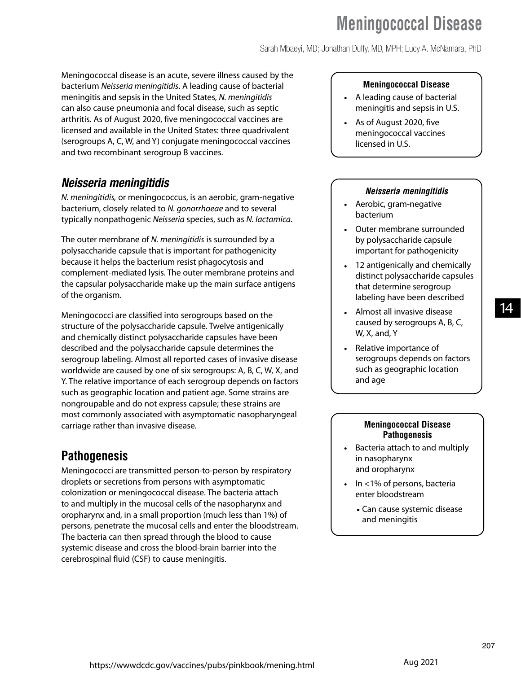Sarah Mbaeyi, MD; Jonathan Duffy, MD, MPH; Lucy A. McNamara, PhD

Meningococcal disease is an acute, severe illness caused by the bacterium *Neisseria meningitidis*. A leading cause of bacterial meningitis and sepsis in the United States, *N. meningitidis* can also cause pneumonia and focal disease, such as septic arthritis. As of August 2020, five meningococcal vaccines are licensed and available in the United States: three quadrivalent (serogroups A, C, W, and Y) conjugate meningococcal vaccines and two recombinant serogroup B vaccines.

### *Neisseria meningitidis*

*N. meningitidis,* or meningococcus, is an aerobic, gram-negative bacterium, closely related to *N. gonorrhoeae* and to several typically nonpathogenic *Neisseria* species, such as *N. lactamica*.

The outer membrane of *N. meningitidis* is surrounded by a polysaccharide capsule that is important for pathogenicity because it helps the bacterium resist phagocytosis and complement-mediated lysis. The outer membrane proteins and the capsular polysaccharide make up the main surface antigens of the organism.

Meningococci are classified into serogroups based on the structure of the polysaccharide capsule. Twelve antigenically and chemically distinct polysaccharide capsules have been described and the polysaccharide capsule determines the serogroup labeling. Almost all reported cases of invasive disease worldwide are caused by one of six serogroups: A, B, C, W, X, and Y. The relative importance of each serogroup depends on factors such as geographic location and patient age. Some strains are nongroupable and do not express capsule; these strains are most commonly associated with asymptomatic nasopharyngeal carriage rather than invasive disease.

### **Pathogenesis**

Meningococci are transmitted person-to-person by respiratory droplets or secretions from persons with asymptomatic colonization or meningococcal disease. The bacteria attach to and multiply in the mucosal cells of the nasopharynx and oropharynx and, in a small proportion (much less than 1%) of persons, penetrate the mucosal cells and enter the bloodstream. The bacteria can then spread through the blood to cause systemic disease and cross the blood-brain barrier into the cerebrospinal fluid (CSF) to cause meningitis.

#### **Meningococcal Disease**

- A leading cause of bacterial meningitis and sepsis in U.S.
- As of August 2020, five meningococcal vaccines licensed in U.S.

#### *Neisseria meningitidis*

- Aerobic, gram-negative bacterium
- Outer membrane surrounded by polysaccharide capsule important for pathogenicity
- 12 antigenically and chemically distinct polysaccharide capsules that determine serogroup labeling have been described
- Almost all invasive disease caused by serogroups A, B, C, W, X, and, Y
- Relative importance of serogroups depends on factors such as geographic location and age

#### **Meningococcal Disease Pathogenesis**

- Bacteria attach to and multiply in nasopharynx and oropharynx
- In  $<$ 1% of persons, bacteria enter bloodstream
	- Can cause systemic disease and meningitis

14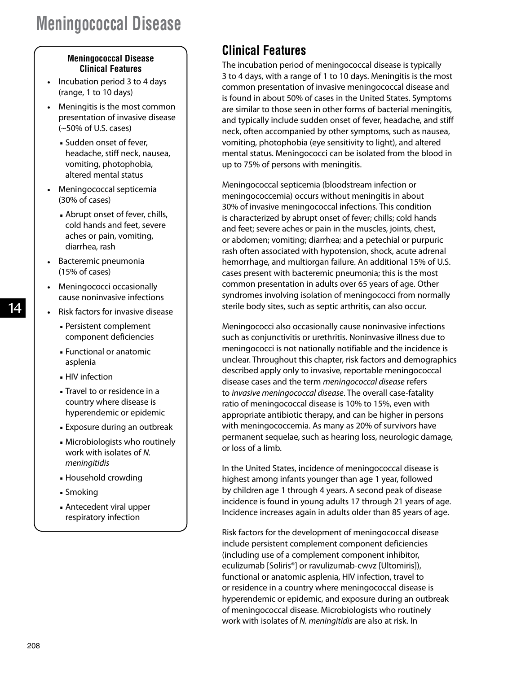#### **Meningococcal Disease Clinical Features**

- Incubation period 3 to 4 days (range, 1 to 10 days)
- Meningitis is the most common presentation of invasive disease (~50% of U.S. cases)
	- Sudden onset of fever, headache, stiff neck, nausea, vomiting, photophobia, altered mental status
- Meningococcal septicemia (30% of cases)
	- Abrupt onset of fever, chills, cold hands and feet, severe aches or pain, vomiting, diarrhea, rash
- Bacteremic pneumonia (15% of cases)
- Meningococci occasionally cause noninvasive infections
- Risk factors for invasive disease
	- Persistent complement component deficiencies
	- Functional or anatomic asplenia
	- HIV infection
	- Travel to or residence in a country where disease is hyperendemic or epidemic
	- Exposure during an outbreak
	- Microbiologists who routinely work with isolates of *N. meningitidis*
	- Household crowding
	- Smoking
	- Antecedent viral upper respiratory infection

### **Clinical Features**

The incubation period of meningococcal disease is typically 3 to 4 days, with a range of 1 to 10 days. Meningitis is the most common presentation of invasive meningococcal disease and is found in about 50% of cases in the United States. Symptoms are similar to those seen in other forms of bacterial meningitis, and typically include sudden onset of fever, headache, and stiff neck, often accompanied by other symptoms, such as nausea, vomiting, photophobia (eye sensitivity to light), and altered mental status. Meningococci can be isolated from the blood in up to 75% of persons with meningitis.

Meningococcal septicemia (bloodstream infection or meningococcemia) occurs without meningitis in about 30% of invasive meningococcal infections. This condition is characterized by abrupt onset of fever; chills; cold hands and feet; severe aches or pain in the muscles, joints, chest, or abdomen; vomiting; diarrhea; and a petechial or purpuric rash often associated with hypotension, shock, acute adrenal hemorrhage, and multiorgan failure. An additional 15% of U.S. cases present with bacteremic pneumonia; this is the most common presentation in adults over 65 years of age. Other syndromes involving isolation of meningococci from normally sterile body sites, such as septic arthritis, can also occur.

Meningococci also occasionally cause noninvasive infections such as conjunctivitis or urethritis. Noninvasive illness due to meningococci is not nationally notifiable and the incidence is unclear. Throughout this chapter, risk factors and demographics described apply only to invasive, reportable meningococcal disease cases and the term *meningococcal disease* refers to *invasive meningococcal disease*. The overall case-fatality ratio of meningococcal disease is 10% to 15%, even with appropriate antibiotic therapy, and can be higher in persons with meningococcemia. As many as 20% of survivors have permanent sequelae, such as hearing loss, neurologic damage, or loss of a limb.

In the United States, incidence of meningococcal disease is highest among infants younger than age 1 year, followed by children age 1 through 4 years. A second peak of disease incidence is found in young adults 17 through 21 years of age. Incidence increases again in adults older than 85 years of age.

Risk factors for the development of meningococcal disease include persistent complement component deficiencies (including use of a complement component inhibitor, eculizumab [Soliris®] or ravulizumab-cwvz [Ultomiris]), functional or anatomic asplenia, HIV infection, travel to or residence in a country where meningococcal disease is hyperendemic or epidemic, and exposure during an outbreak of meningococcal disease. Microbiologists who routinely work with isolates of *N. meningitidis* are also at risk. In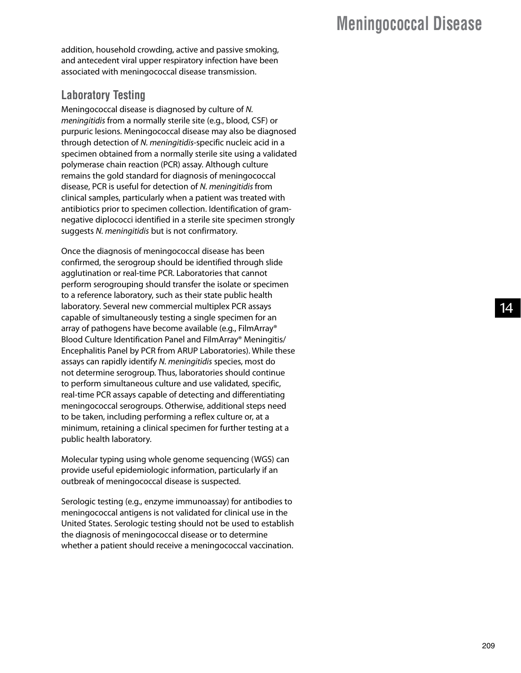addition, household crowding, active and passive smoking, and antecedent viral upper respiratory infection have been associated with meningococcal disease transmission.

### **Laboratory Testing**

Meningococcal disease is diagnosed by culture of *N. meningitidis* from a normally sterile site (e.g., blood, CSF) or purpuric lesions. Meningococcal disease may also be diagnosed through detection of *N. meningitidis*-specific nucleic acid in a specimen obtained from a normally sterile site using a validated polymerase chain reaction (PCR) assay. Although culture remains the gold standard for diagnosis of meningococcal disease, PCR is useful for detection of *N. meningitidis* from clinical samples, particularly when a patient was treated with antibiotics prior to specimen collection. Identification of gramnegative diplococci identified in a sterile site specimen strongly suggests *N. meningitidis* but is not confirmatory.

Once the diagnosis of meningococcal disease has been confirmed, the serogroup should be identified through slide agglutination or real-time PCR. Laboratories that cannot perform serogrouping should transfer the isolate or specimen to a reference laboratory, such as their state public health laboratory. Several new commercial multiplex PCR assays capable of simultaneously testing a single specimen for an array of pathogens have become available (e.g., FilmArray® Blood Culture Identification Panel and FilmArray® Meningitis/ Encephalitis Panel by PCR from ARUP Laboratories). While these assays can rapidly identify *N. meningitidis* species, most do not determine serogroup. Thus, laboratories should continue to perform simultaneous culture and use validated, specific, real-time PCR assays capable of detecting and differentiating meningococcal serogroups. Otherwise, additional steps need to be taken, including performing a reflex culture or, at a minimum, retaining a clinical specimen for further testing at a public health laboratory.

Molecular typing using whole genome sequencing (WGS) can provide useful epidemiologic information, particularly if an outbreak of meningococcal disease is suspected.

Serologic testing (e.g., enzyme immunoassay) for antibodies to meningococcal antigens is not validated for clinical use in the United States. Serologic testing should not be used to establish the diagnosis of meningococcal disease or to determine whether a patient should receive a meningococcal vaccination.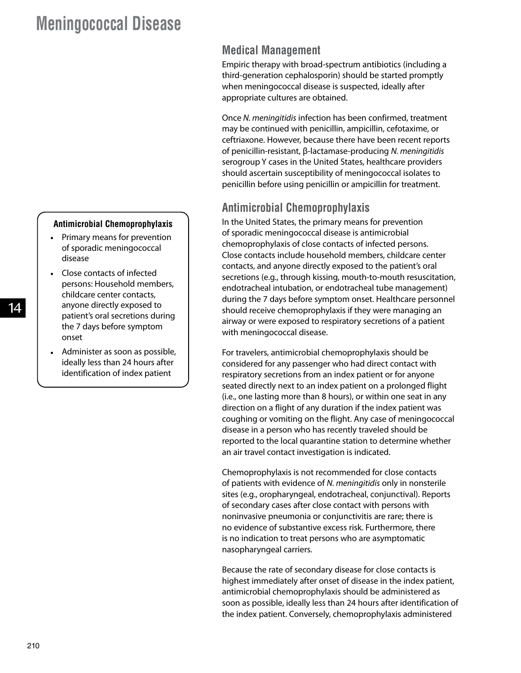#### **Antimicrobial Chemoprophylaxis**

- Primary means for prevention of sporadic meningococcal disease
- Close contacts of infected persons: Household members, childcare center contacts, anyone directly exposed to patient's oral secretions during the 7 days before symptom onset
- Administer as soon as possible, ideally less than 24 hours after identification of index patient

### **Medical Management**

Empiric therapy with broad-spectrum antibiotics (including a third-generation cephalosporin) should be started promptly when meningococcal disease is suspected, ideally after appropriate cultures are obtained.

Once *N. meningitidis* infection has been confirmed, treatment may be continued with penicillin, ampicillin, cefotaxime, or ceftriaxone. However, because there have been recent reports of penicillin-resistant, β-lactamase-producing *N. meningitidis* serogroup Y cases in the United States, healthcare providers should ascertain susceptibility of meningococcal isolates to penicillin before using penicillin or ampicillin for treatment.

### **Antimicrobial Chemoprophylaxis**

In the United States, the primary means for prevention of sporadic meningococcal disease is antimicrobial chemoprophylaxis of close contacts of infected persons. Close contacts include household members, childcare center contacts, and anyone directly exposed to the patient's oral secretions (e.g., through kissing, mouth-to-mouth resuscitation, endotracheal intubation, or endotracheal tube management) during the 7 days before symptom onset. Healthcare personnel should receive chemoprophylaxis if they were managing an airway or were exposed to respiratory secretions of a patient with meningococcal disease.

For travelers, antimicrobial chemoprophylaxis should be considered for any passenger who had direct contact with respiratory secretions from an index patient or for anyone seated directly next to an index patient on a prolonged flight (i.e., one lasting more than 8 hours), or within one seat in any direction on a flight of any duration if the index patient was coughing or vomiting on the flight. Any case of meningococcal disease in a person who has recently traveled should be reported to the local quarantine station to determine whether an air travel contact investigation is indicated.

Chemoprophylaxis is not recommended for close contacts of patients with evidence of *N. meningitidis* only in nonsterile sites (e.g., oropharyngeal, endotracheal, conjunctival). Reports of secondary cases after close contact with persons with noninvasive pneumonia or conjunctivitis are rare; there is no evidence of substantive excess risk. Furthermore, there is no indication to treat persons who are asymptomatic nasopharyngeal carriers.

Because the rate of secondary disease for close contacts is highest immediately after onset of disease in the index patient, antimicrobial chemoprophylaxis should be administered as soon as possible, ideally less than 24 hours after identification of the index patient. Conversely, chemoprophylaxis administered

14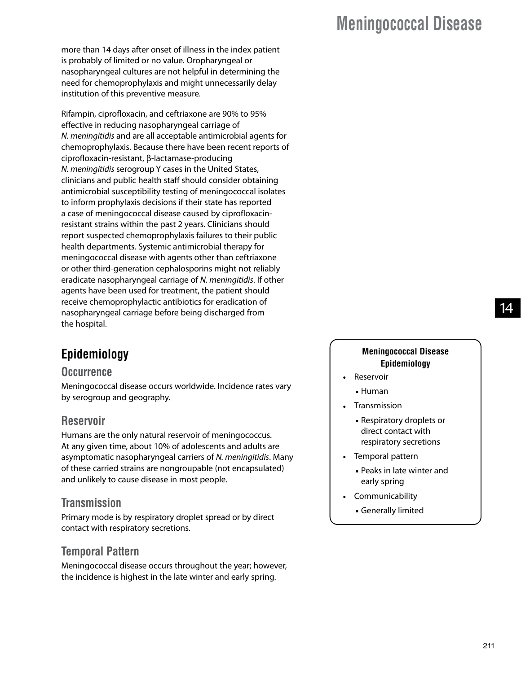more than 14 days after onset of illness in the index patient is probably of limited or no value. Oropharyngeal or nasopharyngeal cultures are not helpful in determining the need for chemoprophylaxis and might unnecessarily delay institution of this preventive measure.

Rifampin, ciprofloxacin, and ceftriaxone are 90% to 95% effective in reducing nasopharyngeal carriage of *N. meningitidis* and are all acceptable antimicrobial agents for chemoprophylaxis. Because there have been recent reports of ciprofloxacin-resistant, β-lactamase-producing *N. meningitidis* serogroup Y cases in the United States, clinicians and public health staff should consider obtaining antimicrobial susceptibility testing of meningococcal isolates to inform prophylaxis decisions if their state has reported a case of meningococcal disease caused by ciprofloxacinresistant strains within the past 2 years. Clinicians should report suspected chemoprophylaxis failures to their public health departments. Systemic antimicrobial therapy for meningococcal disease with agents other than ceftriaxone or other third-generation cephalosporins might not reliably eradicate nasopharyngeal carriage of *N. meningitidis*. If other agents have been used for treatment, the patient should receive chemoprophylactic antibiotics for eradication of nasopharyngeal carriage before being discharged from the hospital.

### **Epidemiology**

### **Occurrence**

Meningococcal disease occurs worldwide. Incidence rates vary by serogroup and geography.

### **Reservoir**

Humans are the only natural reservoir of meningococcus. At any given time, about 10% of adolescents and adults are asymptomatic nasopharyngeal carriers of *N. meningitidis*. Many of these carried strains are nongroupable (not encapsulated) and unlikely to cause disease in most people.

### **Transmission**

Primary mode is by respiratory droplet spread or by direct contact with respiratory secretions.

### **Temporal Pattern**

Meningococcal disease occurs throughout the year; however, the incidence is highest in the late winter and early spring.

### **Meningococcal Disease Epidemiology**

- Reservoir
- Human
- Transmission
	- Respiratory droplets or direct contact with respiratory secretions
- Temporal pattern
	- Peaks in late winter and early spring
- Communicability
	- Generally limited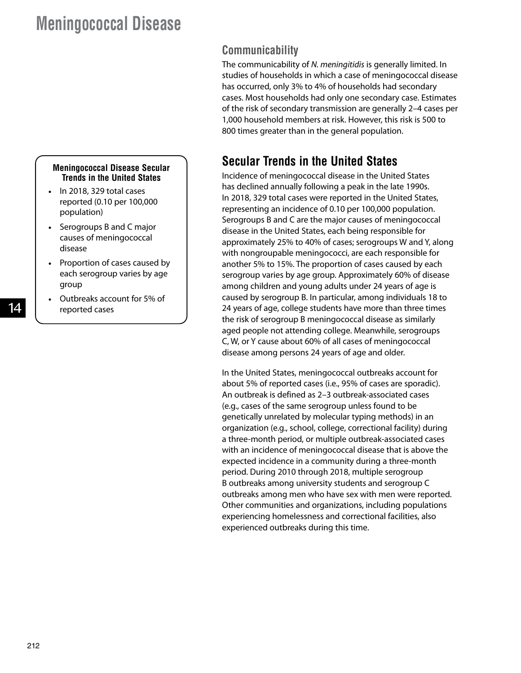### **Communicability**

The communicability of *N. meningitidis* is generally limited. In studies of households in which a case of meningococcal disease has occurred, only 3% to 4% of households had secondary cases. Most households had only one secondary case. Estimates of the risk of secondary transmission are generally 2–4 cases per 1,000 household members at risk. However, this risk is 500 to 800 times greater than in the general population.

## **Secular Trends in the United States**

Incidence of meningococcal disease in the United States has declined annually following a peak in the late 1990s. In 2018, 329 total cases were reported in the United States, representing an incidence of 0.10 per 100,000 population. Serogroups B and C are the major causes of meningococcal disease in the United States, each being responsible for approximately 25% to 40% of cases; serogroups W and Y, along with nongroupable meningococci, are each responsible for another 5% to 15%. The proportion of cases caused by each serogroup varies by age group. Approximately 60% of disease among children and young adults under 24 years of age is caused by serogroup B. In particular, among individuals 18 to 24 years of age, college students have more than three times the risk of serogroup B meningococcal disease as similarly aged people not attending college. Meanwhile, serogroups C, W, or Y cause about 60% of all cases of meningococcal disease among persons 24 years of age and older.

In the United States, meningococcal outbreaks account for about 5% of reported cases (i.e., 95% of cases are sporadic). An outbreak is defined as 2–3 outbreak-associated cases (e.g., cases of the same serogroup unless found to be genetically unrelated by molecular typing methods) in an organization (e.g., school, college, correctional facility) during a three-month period, or multiple outbreak-associated cases with an incidence of meningococcal disease that is above the expected incidence in a community during a three-month period. During 2010 through 2018, multiple serogroup B outbreaks among university students and serogroup C outbreaks among men who have sex with men were reported. Other communities and organizations, including populations experiencing homelessness and correctional facilities, also experienced outbreaks during this time.

#### **Meningococcal Disease Secular Trends in the United States**

- In 2018, 329 total cases reported (0.10 per 100,000 population)
- Serogroups B and C major causes of meningococcal disease
- Proportion of cases caused by each serogroup varies by age group
- Outbreaks account for 5% of reported cases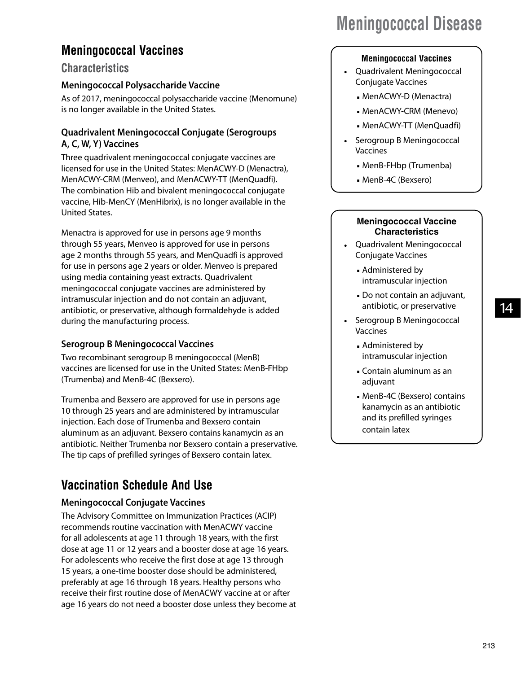### **Meningococcal Vaccines**

### **Characteristics**

#### **Meningococcal Polysaccharide Vaccine**

As of 2017, meningococcal polysaccharide vaccine (Menomune) is no longer available in the United States.

### **Quadrivalent Meningococcal Conjugate (Serogroups A, C, W, Y) Vaccines**

Three quadrivalent meningococcal conjugate vaccines are licensed for use in the United States: MenACWY-D (Menactra), MenACWY-CRM (Menveo), and MenACWY-TT (MenQuadfi). The combination Hib and bivalent meningococcal conjugate vaccine, Hib-MenCY (MenHibrix), is no longer available in the United States.

Menactra is approved for use in persons age 9 months through 55 years, Menveo is approved for use in persons age 2 months through 55 years, and MenQuadfi is approved for use in persons age 2 years or older. Menveo is prepared using media containing yeast extracts. Quadrivalent meningococcal conjugate vaccines are administered by intramuscular injection and do not contain an adjuvant, antibiotic, or preservative, although formaldehyde is added during the manufacturing process.

### **Serogroup B Meningococcal Vaccines**

Two recombinant serogroup B meningococcal (MenB) vaccines are licensed for use in the United States: MenB-FHbp (Trumenba) and MenB-4C (Bexsero).

Trumenba and Bexsero are approved for use in persons age 10 through 25 years and are administered by intramuscular injection. Each dose of Trumenba and Bexsero contain aluminum as an adjuvant. Bexsero contains kanamycin as an antibiotic. Neither Trumenba nor Bexsero contain a preservative. The tip caps of prefilled syringes of Bexsero contain latex.

## **Vaccination Schedule And Use**

### **Meningococcal Conjugate Vaccines**

The Advisory Committee on Immunization Practices (ACIP) recommends routine vaccination with MenACWY vaccine for all adolescents at age 11 through 18 years, with the first dose at age 11 or 12 years and a booster dose at age 16 years. For adolescents who receive the first dose at age 13 through 15 years, a one-time booster dose should be administered, preferably at age 16 through 18 years. Healthy persons who receive their first routine dose of MenACWY vaccine at or after age 16 years do not need a booster dose unless they become at

# **Meningococcal Disease**

#### **Meningococcal Vaccines**

- Quadrivalent Meningococcal Conjugate Vaccines
	- MenACWY-D (Menactra)
	- MenACWY-CRM (Menevo)
	- MenACWY-TT (MenQuadfi)
- Serogroup B Meningococcal Vaccines
	- MenB-FHbp (Trumenba)
	- MenB-4C (Bexsero)

#### **Meningococcal Vaccine Characteristics**

- Quadrivalent Meningococcal Conjugate Vaccines
	- Administered by intramuscular injection
	- Do not contain an adjuvant, antibiotic, or preservative
- Serogroup B Meningococcal Vaccines
	- Administered by intramuscular injection
	- Contain aluminum as an adjuvant
	- MenB-4C (Bexsero) contains kanamycin as an antibiotic and its prefilled syringes contain latex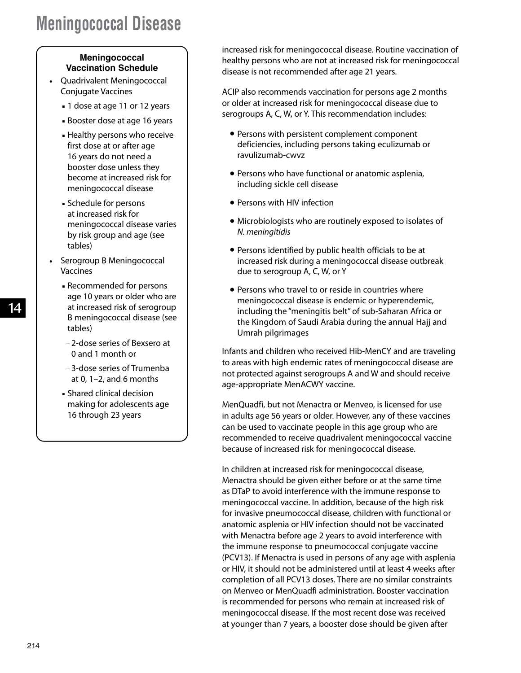#### **Meningococcal Vaccination Schedule**

- Ouadrivalent Meningococcal Conjugate Vaccines
	- 1 dose at age 11 or 12 years
	- Booster dose at age 16 years
	- Healthy persons who receive first dose at or after age 16 years do not need a booster dose unless they become at increased risk for meningococcal disease
	- Schedule for persons at increased risk for meningococcal disease varies by risk group and age (see tables)
- Serogroup B Meningococcal Vaccines
	- Recommended for persons age 10 years or older who are at increased risk of serogroup B meningococcal disease (see tables)
	- –2-dose series of Bexsero at 0 and 1 month or
	- –3-dose series of Trumenba at 0, 1–2, and 6 months
	- Shared clinical decision making for adolescents age 16 through 23 years

increased risk for meningococcal disease. Routine vaccination of healthy persons who are not at increased risk for meningococcal disease is not recommended after age 21 years.

ACIP also recommends vaccination for persons age 2 months or older at increased risk for meningococcal disease due to serogroups A, C, W, or Y. This recommendation includes:

- Persons with persistent complement component deficiencies, including persons taking eculizumab or ravulizumab-cwvz
- Persons who have functional or anatomic asplenia, including sickle cell disease
- Persons with HIV infection
- Microbiologists who are routinely exposed to isolates of *N. meningitidis*
- Persons identified by public health officials to be at increased risk during a meningococcal disease outbreak due to serogroup A, C, W, or Y
- Persons who travel to or reside in countries where meningococcal disease is endemic or hyperendemic, including the "meningitis belt" of sub-Saharan Africa or the Kingdom of Saudi Arabia during the annual Hajj and Umrah pilgrimages

Infants and children who received Hib-MenCY and are traveling to areas with high endemic rates of meningococcal disease are not protected against serogroups A and W and should receive age-appropriate MenACWY vaccine.

MenQuadfi, but not Menactra or Menveo, is licensed for use in adults age 56 years or older. However, any of these vaccines can be used to vaccinate people in this age group who are recommended to receive quadrivalent meningococcal vaccine because of increased risk for meningococcal disease.

In children at increased risk for meningococcal disease, Menactra should be given either before or at the same time as DTaP to avoid interference with the immune response to meningococcal vaccine. In addition, because of the high risk for invasive pneumococcal disease, children with functional or anatomic asplenia or HIV infection should not be vaccinated with Menactra before age 2 years to avoid interference with the immune response to pneumococcal conjugate vaccine (PCV13). If Menactra is used in persons of any age with asplenia or HIV, it should not be administered until at least 4 weeks after completion of all PCV13 doses. There are no similar constraints on Menveo or MenQuadfi administration. Booster vaccination is recommended for persons who remain at increased risk of meningococcal disease. If the most recent dose was received at younger than 7 years, a booster dose should be given after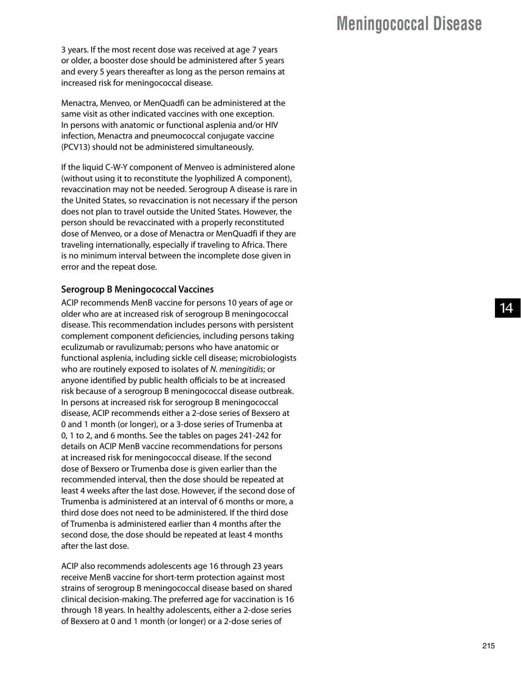3 years. If the most recent dose was received at age 7 years or older, a booster dose should be administered after 5 years and every 5 years thereafter as long as the person remains at increased risk for meningococcal disease.

Menactra, Menveo, or MenQuadfi can be administered at the same visit as other indicated vaccines with one exception. In persons with anatomic or functional asplenia and/or HIV infection, Menactra and pneumococcal conjugate vaccine (PCV13) should not be administered simultaneously.

If the liquid C-W-Y component of Menveo is administered alone (without using it to reconstitute the lyophilized A component), revaccination may not be needed. Serogroup A disease is rare in the United States, so revaccination is not necessary if the person does not plan to travel outside the United States. However, the person should be revaccinated with a properly reconstituted dose of Menveo, or a dose of Menactra or MenQuadfi if they are traveling internationally, especially if traveling to Africa. There is no minimum interval between the incomplete dose given in error and the repeat dose.

#### **Serogroup B Meningococcal Vaccines**

ACIP recommends MenB vaccine for persons 10 years of age or older who are at increased risk of serogroup B meningococcal disease. This recommendation includes persons with persistent complement component deficiencies, including persons taking eculizumab or ravulizumab; persons who have anatomic or functional asplenia, including sickle cell disease; microbiologists who are routinely exposed to isolates of *N. meningitidis*; or anyone identified by public health officials to be at increased risk because of a serogroup B meningococcal disease outbreak. In persons at increased risk for serogroup B meningococcal disease, ACIP recommends either a 2-dose series of Bexsero at 0 and 1 month (or longer), or a 3-dose series of Trumenba at 0, 1 to 2, and 6 months. See the tables on pages 241-242 for details on ACIP MenB vaccine recommendations for persons at increased risk for meningococcal disease. If the second dose of Bexsero or Trumenba dose is given earlier than the recommended interval, then the dose should be repeated at least 4 weeks after the last dose. However, if the second dose of Trumenba is administered at an interval of 6 months or more, a third dose does not need to be administered. If the third dose of Trumenba is administered earlier than 4 months after the second dose, the dose should be repeated at least 4 months after the last dose.

ACIP also recommends adolescents age 16 through 23 years receive MenB vaccine for short-term protection against most strains of serogroup B meningococcal disease based on shared clinical decision-making. The preferred age for vaccination is 16 through 18 years. In healthy adolescents, either a 2-dose series of Bexsero at 0 and 1 month (or longer) or a 2-dose series of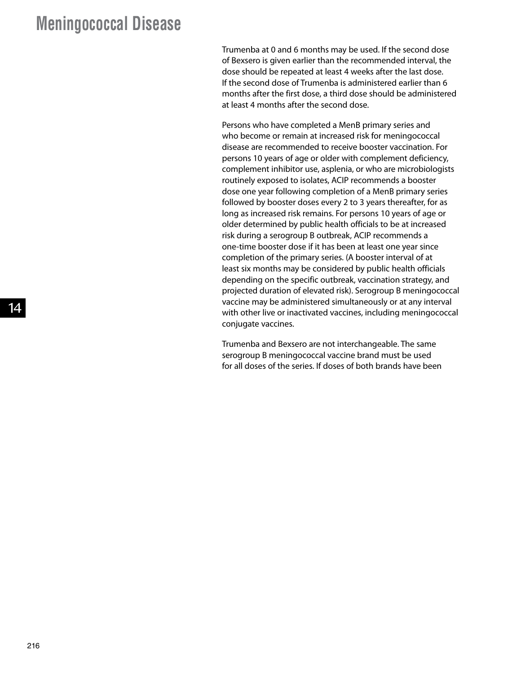Trumenba at 0 and 6 months may be used. If the second dose of Bexsero is given earlier than the recommended interval, the dose should be repeated at least 4 weeks after the last dose. If the second dose of Trumenba is administered earlier than 6 months after the first dose, a third dose should be administered at least 4 months after the second dose.

Persons who have completed a MenB primary series and who become or remain at increased risk for meningococcal disease are recommended to receive booster vaccination. For persons 10 years of age or older with complement deficiency, complement inhibitor use, asplenia, or who are microbiologists routinely exposed to isolates, ACIP recommends a booster dose one year following completion of a MenB primary series followed by booster doses every 2 to 3 years thereafter, for as long as increased risk remains. For persons 10 years of age or older determined by public health officials to be at increased risk during a serogroup B outbreak, ACIP recommends a one-time booster dose if it has been at least one year since completion of the primary series. (A booster interval of at least six months may be considered by public health officials depending on the specific outbreak, vaccination strategy, and projected duration of elevated risk). Serogroup B meningococcal vaccine may be administered simultaneously or at any interval with other live or inactivated vaccines, including meningococcal conjugate vaccines.

Trumenba and Bexsero are not interchangeable. The same serogroup B meningococcal vaccine brand must be used for all doses of the series. If doses of both brands have been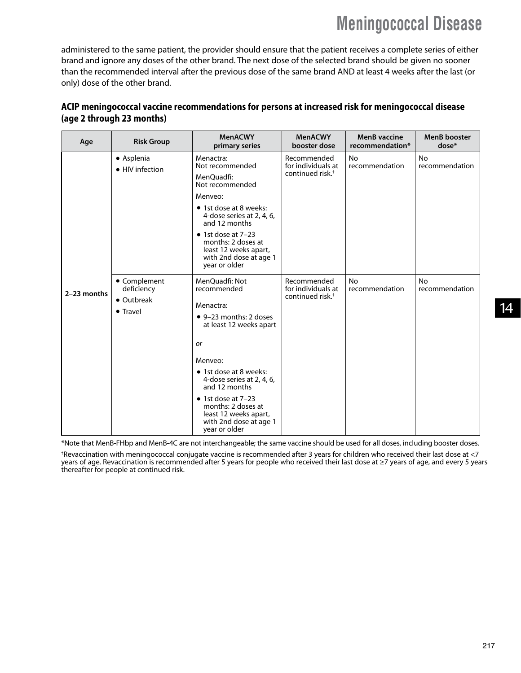administered to the same patient, the provider should ensure that the patient receives a complete series of either brand and ignore any doses of the other brand. The next dose of the selected brand should be given no sooner than the recommended interval after the previous dose of the same brand AND at least 4 weeks after the last (or only) dose of the other brand.

| Age         | <b>Risk Group</b>                                    | <b>MenACWY</b><br>primary series                                                                                                                                                                                                                                                                                        | <b>MenACWY</b><br>booster dose                                    | <b>MenB</b> vaccine<br>recommendation* | <b>MenB</b> booster<br>$dose*$ |
|-------------|------------------------------------------------------|-------------------------------------------------------------------------------------------------------------------------------------------------------------------------------------------------------------------------------------------------------------------------------------------------------------------------|-------------------------------------------------------------------|----------------------------------------|--------------------------------|
|             | • Asplenia<br>• HIV infection                        | Menactra:<br>Not recommended<br>MenQuadfi:<br>Not recommended<br>Menveo:<br>• 1st dose at 8 weeks:<br>4-dose series at 2, 4, 6,<br>and 12 months<br>$\bullet$ 1st dose at 7-23<br>months: 2 doses at<br>least 12 weeks apart,<br>with 2nd dose at age 1<br>year or older                                                | Recommended<br>for individuals at<br>continued risk. <sup>+</sup> | No<br>recommendation                   | No<br>recommendation           |
| 2-23 months | • Complement<br>deficiency<br>• Outbreak<br>• Travel | MenQuadfi: Not<br>recommended<br>Menactra:<br>• 9-23 months: 2 doses<br>at least 12 weeks apart<br><b>or</b><br>Menveo:<br>• 1st dose at 8 weeks:<br>4-dose series at 2, 4, 6,<br>and 12 months<br>$\bullet$ 1st dose at 7-23<br>months: 2 doses at<br>least 12 weeks apart,<br>with 2nd dose at age 1<br>year or older | Recommended<br>for individuals at<br>continued risk. <sup>†</sup> | No<br>recommendation                   | <b>No</b><br>recommendation    |

### **ACIP meningococcal vaccine recommendations for persons at increased risk for meningococcal disease (age 2 through 23 months)**

\*Note that MenB-FHbp and MenB-4C are not interchangeable; the same vaccine should be used for all doses, including booster doses.

† Revaccination with meningococcal conjugate vaccine is recommended after 3 years for children who received their last dose at <7 years of age. Revaccination is recommended after 5 years for people who received their last dose at ≥7 years of age, and every 5 years thereafter for people at continued risk.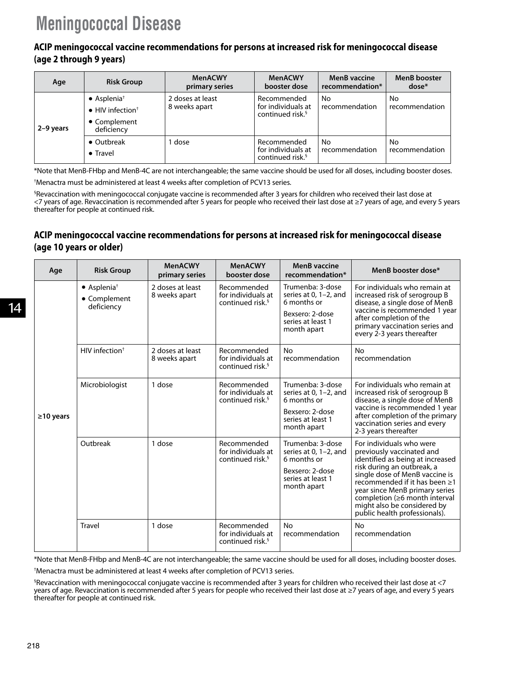#### **ACIP meningococcal vaccine recommendations for persons at increased risk for meningococcal disease (age 2 through 9 years)**

| Age       | <b>Risk Group</b>                                                                                     | <b>MenACWY</b><br>primary series  | <b>MenACWY</b><br>booster dose                                    | <b>MenB</b> vaccine<br>recommendation* | MenB booster<br>$dose*$ |
|-----------|-------------------------------------------------------------------------------------------------------|-----------------------------------|-------------------------------------------------------------------|----------------------------------------|-------------------------|
| 2-9 years | $\bullet$ Asplenia <sup>+</sup><br>$\bullet$ HIV infection <sup>+</sup><br>• Complement<br>deficiency | 2 doses at least<br>8 weeks apart | Recommended<br>for individuals at<br>continued risk. <sup>§</sup> | No<br>recommendation                   | No<br>recommendation    |
|           | • Outbreak<br>$\bullet$ Travel                                                                        | dose                              | Recommended<br>for individuals at<br>continued risk. <sup>§</sup> | No<br>recommendation                   | No<br>recommendation    |

\*Note that MenB-FHbp and MenB-4C are not interchangeable; the same vaccine should be used for all doses, including booster doses. † Menactra must be administered at least 4 weeks after completion of PCV13 series.

§ Revaccination with meningococcal conjugate vaccine is recommended after 3 years for children who received their last dose at <7 years of age. Revaccination is recommended after 5 years for people who received their last dose at ≥7 years of age, and every 5 years thereafter for people at continued risk.

### **ACIP meningococcal vaccine recommendations for persons at increased risk for meningococcal disease (age 10 years or older)**

| Age             | <b>Risk Group</b>                                             | <b>MenACWY</b><br>primary series  | <b>MenACWY</b><br>booster dose                                    | <b>MenB</b> vaccine<br>recommendation*                                                                             | MenB booster dose*                                                                                                                                                                                                                                                                                                                         |
|-----------------|---------------------------------------------------------------|-----------------------------------|-------------------------------------------------------------------|--------------------------------------------------------------------------------------------------------------------|--------------------------------------------------------------------------------------------------------------------------------------------------------------------------------------------------------------------------------------------------------------------------------------------------------------------------------------------|
|                 | $\bullet$ Asplenia <sup>+</sup><br>• Complement<br>deficiency | 2 doses at least<br>8 weeks apart | Recommended<br>for individuals at<br>continued risk. <sup>§</sup> | Trumenba: 3-dose<br>series at 0, $1-2$ , and<br>6 months or<br>Bexsero: 2-dose<br>series at least 1<br>month apart | For individuals who remain at<br>increased risk of serogroup B<br>disease, a single dose of MenB<br>vaccine is recommended 1 year<br>after completion of the<br>primary vaccination series and<br>every 2-3 years thereafter                                                                                                               |
|                 | HIV infection <sup>+</sup>                                    | 2 doses at least<br>8 weeks apart | Recommended<br>for individuals at<br>continued risk. <sup>§</sup> | No<br>recommendation                                                                                               | No<br>recommendation                                                                                                                                                                                                                                                                                                                       |
| $\geq$ 10 years | Microbiologist                                                | 1 dose                            | Recommended<br>for individuals at<br>continued risk. <sup>§</sup> | Trumenba: 3-dose<br>series at 0, 1-2, and<br>6 months or<br>Bexsero: 2-dose<br>series at least 1<br>month apart    | For individuals who remain at<br>increased risk of serogroup B<br>disease, a single dose of MenB<br>vaccine is recommended 1 year<br>after completion of the primary<br>vaccination series and every<br>2-3 years thereafter                                                                                                               |
|                 | Outbreak                                                      | 1 dose                            | Recommended<br>for individuals at<br>continued risk. <sup>§</sup> | Trumenba: 3-dose<br>series at 0, 1-2, and<br>6 months or<br>Bexsero: 2-dose<br>series at least 1<br>month apart    | For individuals who were<br>previously vaccinated and<br>identified as being at increased<br>risk during an outbreak, a<br>single dose of MenB vaccine is<br>recommended if it has been $\geq 1$<br>year since MenB primary series<br>completion ( $\geq 6$ month interval<br>might also be considered by<br>public health professionals). |
|                 | <b>Travel</b>                                                 | 1 dose                            | Recommended<br>for individuals at<br>continued risk. <sup>§</sup> | No<br>recommendation                                                                                               | No<br>recommendation                                                                                                                                                                                                                                                                                                                       |

\*Note that MenB-FHbp and MenB-4C are not interchangeable; the same vaccine should be used for all doses, including booster doses. † Menactra must be administered at least 4 weeks after completion of PCV13 series.

§ Revaccination with meningococcal conjugate vaccine is recommended after 3 years for children who received their last dose at <7 years of age. Revaccination is recommended after 5 years for people who received their last dose at ≥7 years of age, and every 5 years thereafter for people at continued risk.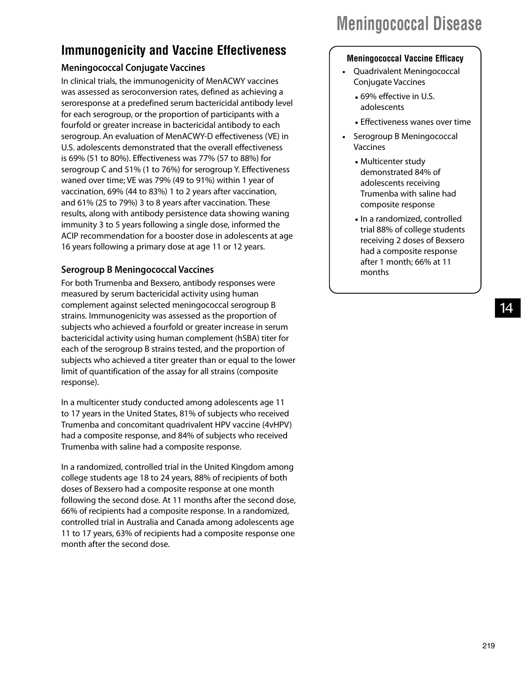## **Immunogenicity and Vaccine Effectiveness**

### **Meningococcal Conjugate Vaccines**

In clinical trials, the immunogenicity of MenACWY vaccines was assessed as seroconversion rates, defined as achieving a seroresponse at a predefined serum bactericidal antibody level for each serogroup, or the proportion of participants with a fourfold or greater increase in bactericidal antibody to each serogroup. An evaluation of MenACWY-D effectiveness (VE) in U.S. adolescents demonstrated that the overall effectiveness is 69% (51 to 80%). Effectiveness was 77% (57 to 88%) for serogroup C and 51% (1 to 76%) for serogroup Y. Effectiveness waned over time; VE was 79% (49 to 91%) within 1 year of vaccination, 69% (44 to 83%) 1 to 2 years after vaccination, and 61% (25 to 79%) 3 to 8 years after vaccination. These results, along with antibody persistence data showing waning immunity 3 to 5 years following a single dose, informed the ACIP recommendation for a booster dose in adolescents at age 16 years following a primary dose at age 11 or 12 years.

### **Serogroup B Meningococcal Vaccines**

For both Trumenba and Bexsero, antibody responses were measured by serum bactericidal activity using human complement against selected meningococcal serogroup B strains. Immunogenicity was assessed as the proportion of subjects who achieved a fourfold or greater increase in serum bactericidal activity using human complement (hSBA) titer for each of the serogroup B strains tested, and the proportion of subjects who achieved a titer greater than or equal to the lower limit of quantification of the assay for all strains (composite response).

In a multicenter study conducted among adolescents age 11 to 17 years in the United States, 81% of subjects who received Trumenba and concomitant quadrivalent HPV vaccine (4vHPV) had a composite response, and 84% of subjects who received Trumenba with saline had a composite response.

In a randomized, controlled trial in the United Kingdom among college students age 18 to 24 years, 88% of recipients of both doses of Bexsero had a composite response at one month following the second dose. At 11 months after the second dose, 66% of recipients had a composite response. In a randomized, controlled trial in Australia and Canada among adolescents age 11 to 17 years, 63% of recipients had a composite response one month after the second dose.

# **Meningococcal Disease**

#### **Meningococcal Vaccine Efficacy**

- Quadrivalent Meningococcal Conjugate Vaccines
	- 69% effective in U.S. adolescents
	- Effectiveness wanes over time
- Serogroup B Meningococcal Vaccines
	- Multicenter study demonstrated 84% of adolescents receiving Trumenba with saline had composite response
	- In a randomized, controlled trial 88% of college students receiving 2 doses of Bexsero had a composite response after 1 month; 66% at 11 months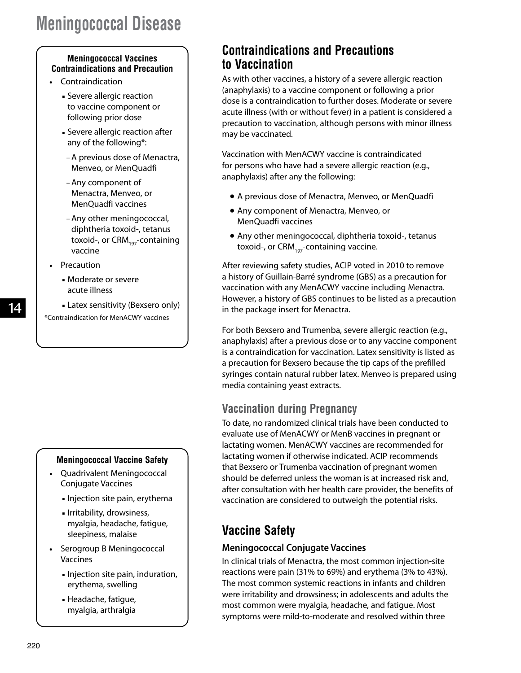#### **Meningococcal Vaccines Contraindications and Precaution**

- Contraindication
	- Severe allergic reaction to vaccine component or following prior dose
	- Severe allergic reaction after any of the following\*:
	- –A previous dose of Menactra, Menveo, or MenQuadfi
	- –Any component of Menactra, Menveo, or MenQuadfi vaccines
	- –Any other meningococcal, diphtheria toxoid-, tetanus toxoid-, or  $CRM_{197}$ -containing vaccine
- Precaution
	- Moderate or severe acute illness
	- Latex sensitivity (Bexsero only)

\*Contraindication for MenACWY vaccines

### **Meningococcal Vaccine Safety**

- Quadrivalent Meningococcal Conjugate Vaccines
	- Injection site pain, erythema
	- Irritability, drowsiness, myalgia, headache, fatigue, sleepiness, malaise
- Serogroup B Meningococcal Vaccines
	- Injection site pain, induration, erythema, swelling
	- Headache, fatigue, myalgia, arthralgia

### **Contraindications and Precautions to Vaccination**

As with other vaccines, a history of a severe allergic reaction (anaphylaxis) to a vaccine component or following a prior dose is a contraindication to further doses. Moderate or severe acute illness (with or without fever) in a patient is considered a precaution to vaccination, although persons with minor illness may be vaccinated.

Vaccination with MenACWY vaccine is contraindicated for persons who have had a severe allergic reaction (e.g., anaphylaxis) after any the following:

- A previous dose of Menactra, Menveo, or MenQuadfi
- Any component of Menactra, Menveo, or MenQuadfi vaccines
- Any other meningococcal, diphtheria toxoid-, tetanus toxoid-, or  $CRM_{197}$ -containing vaccine.

After reviewing safety studies, ACIP voted in 2010 to remove a history of Guillain-Barré syndrome (GBS) as a precaution for vaccination with any MenACWY vaccine including Menactra. However, a history of GBS continues to be listed as a precaution in the package insert for Menactra.

For both Bexsero and Trumenba, severe allergic reaction (e.g., anaphylaxis) after a previous dose or to any vaccine component is a contraindication for vaccination. Latex sensitivity is listed as a precaution for Bexsero because the tip caps of the prefilled syringes contain natural rubber latex. Menveo is prepared using media containing yeast extracts.

### **Vaccination during Pregnancy**

To date, no randomized clinical trials have been conducted to evaluate use of MenACWY or MenB vaccines in pregnant or lactating women. MenACWY vaccines are recommended for lactating women if otherwise indicated. ACIP recommends that Bexsero or Trumenba vaccination of pregnant women should be deferred unless the woman is at increased risk and, after consultation with her health care provider, the benefits of vaccination are considered to outweigh the potential risks.

## **Vaccine Safety**

### **Meningococcal Conjugate Vaccines**

In clinical trials of Menactra, the most common injection-site reactions were pain (31% to 69%) and erythema (3% to 43%). The most common systemic reactions in infants and children were irritability and drowsiness; in adolescents and adults the most common were myalgia, headache, and fatigue. Most symptoms were mild-to-moderate and resolved within three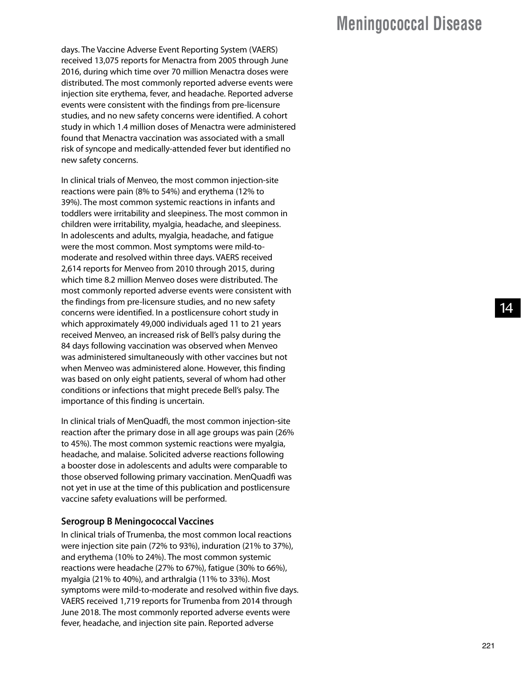days. The Vaccine Adverse Event Reporting System (VAERS) received 13,075 reports for Menactra from 2005 through June 2016, during which time over 70 million Menactra doses were distributed. The most commonly reported adverse events were injection site erythema, fever, and headache. Reported adverse events were consistent with the findings from pre-licensure studies, and no new safety concerns were identified. A cohort study in which 1.4 million doses of Menactra were administered found that Menactra vaccination was associated with a small risk of syncope and medically-attended fever but identified no new safety concerns.

In clinical trials of Menveo, the most common injection-site reactions were pain (8% to 54%) and erythema (12% to 39%). The most common systemic reactions in infants and toddlers were irritability and sleepiness. The most common in children were irritability, myalgia, headache, and sleepiness. In adolescents and adults, myalgia, headache, and fatigue were the most common. Most symptoms were mild-tomoderate and resolved within three days. VAERS received 2,614 reports for Menveo from 2010 through 2015, during which time 8.2 million Menveo doses were distributed. The most commonly reported adverse events were consistent with the findings from pre-licensure studies, and no new safety concerns were identified. In a postlicensure cohort study in which approximately 49,000 individuals aged 11 to 21 years received Menveo, an increased risk of Bell's palsy during the 84 days following vaccination was observed when Menveo was administered simultaneously with other vaccines but not when Menveo was administered alone. However, this finding was based on only eight patients, several of whom had other conditions or infections that might precede Bell's palsy. The importance of this finding is uncertain.

In clinical trials of MenQuadfi, the most common injection-site reaction after the primary dose in all age groups was pain (26% to 45%). The most common systemic reactions were myalgia, headache, and malaise. Solicited adverse reactions following a booster dose in adolescents and adults were comparable to those observed following primary vaccination. MenQuadfi was not yet in use at the time of this publication and postlicensure vaccine safety evaluations will be performed.

#### **Serogroup B Meningococcal Vaccines**

In clinical trials of Trumenba, the most common local reactions were injection site pain (72% to 93%), induration (21% to 37%), and erythema (10% to 24%). The most common systemic reactions were headache (27% to 67%), fatigue (30% to 66%), myalgia (21% to 40%), and arthralgia (11% to 33%). Most symptoms were mild-to-moderate and resolved within five days. VAERS received 1,719 reports for Trumenba from 2014 through June 2018. The most commonly reported adverse events were fever, headache, and injection site pain. Reported adverse

## **Meningococcal Disease**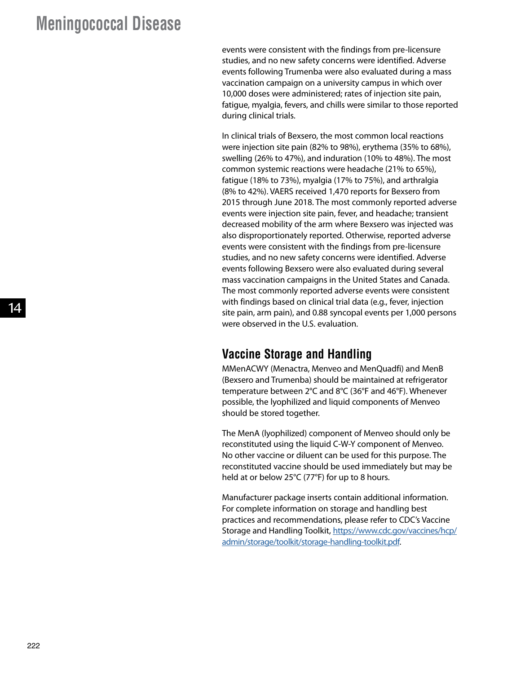events were consistent with the findings from pre-licensure studies, and no new safety concerns were identified. Adverse events following Trumenba were also evaluated during a mass vaccination campaign on a university campus in which over 10,000 doses were administered; rates of injection site pain, fatigue, myalgia, fevers, and chills were similar to those reported during clinical trials.

In clinical trials of Bexsero, the most common local reactions were injection site pain (82% to 98%), erythema (35% to 68%), swelling (26% to 47%), and induration (10% to 48%). The most common systemic reactions were headache (21% to 65%), fatigue (18% to 73%), myalgia (17% to 75%), and arthralgia (8% to 42%). VAERS received 1,470 reports for Bexsero from 2015 through June 2018. The most commonly reported adverse events were injection site pain, fever, and headache; transient decreased mobility of the arm where Bexsero was injected was also disproportionately reported. Otherwise, reported adverse events were consistent with the findings from pre-licensure studies, and no new safety concerns were identified. Adverse events following Bexsero were also evaluated during several mass vaccination campaigns in the United States and Canada. The most commonly reported adverse events were consistent with findings based on clinical trial data (e.g., fever, injection site pain, arm pain), and 0.88 syncopal events per 1,000 persons were observed in the U.S. evaluation.

### **Vaccine Storage and Handling**

MMenACWY (Menactra, Menveo and MenQuadfi) and MenB (Bexsero and Trumenba) should be maintained at refrigerator temperature between 2°C and 8°C (36°F and 46°F). Whenever possible, the lyophilized and liquid components of Menveo should be stored together.

The MenA (lyophilized) component of Menveo should only be reconstituted using the liquid C-W-Y component of Menveo. No other vaccine or diluent can be used for this purpose. The reconstituted vaccine should be used immediately but may be held at or below 25°C (77°F) for up to 8 hours.

Manufacturer package inserts contain additional information. For complete information on storage and handling best practices and recommendations, please refer to CDC's Vaccine Storage and Handling Toolkit, [https://www.cdc.gov/vaccines/hcp/](https://www.cdc.gov/vaccines/hcp/admin/storage/toolkit/storage-handling-toolkit.pdf) [admin/storage/toolkit/storage-handling-toolkit.pdf.](https://www.cdc.gov/vaccines/hcp/admin/storage/toolkit/storage-handling-toolkit.pdf)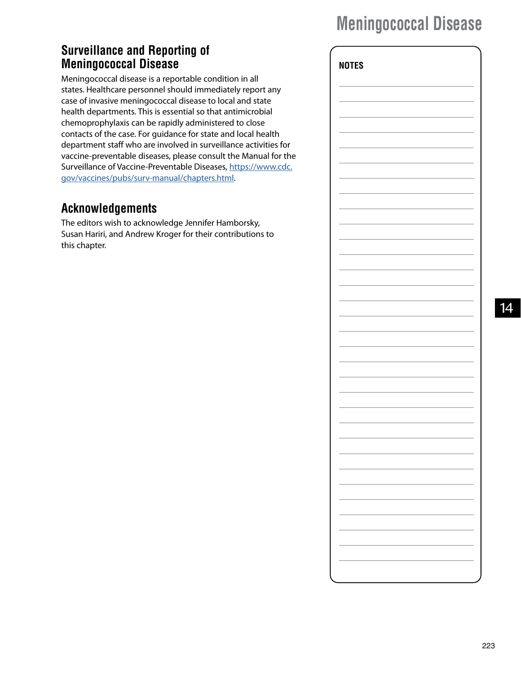### **Surveillance and Reporting of Meningococcal Disease**

Meningococcal disease is a reportable condition in all states. Healthcare personnel should immediately report any case of invasive meningococcal disease to local and state health departments. This is essential so that antimicrobial chemoprophylaxis can be rapidly administered to close contacts of the case. For guidance for state and local health department staff who are involved in surveillance activities for vaccine-preventable diseases, please consult the Manual for the Surveillance of Vaccine-Preventable Diseases, [https://www.cdc.](https://www.cdc.gov/vaccines/pubs/surv-manual/chapters.html) [gov/vaccines/pubs/surv-manual/chapters.html.](https://www.cdc.gov/vaccines/pubs/surv-manual/chapters.html)

### **Acknowledgements**

The editors wish to acknowledge Jennifer Hamborsky, Susan Hariri, and Andrew Kroger for their contributions to this chapter.

| <b>NOTES</b> |  |  |
|--------------|--|--|
|              |  |  |
|              |  |  |
|              |  |  |
|              |  |  |
|              |  |  |
|              |  |  |
|              |  |  |
|              |  |  |
|              |  |  |
|              |  |  |
|              |  |  |
|              |  |  |
|              |  |  |
|              |  |  |
|              |  |  |
|              |  |  |
|              |  |  |
|              |  |  |
|              |  |  |
|              |  |  |
|              |  |  |
|              |  |  |
|              |  |  |
|              |  |  |
|              |  |  |
|              |  |  |
|              |  |  |
|              |  |  |
|              |  |  |
|              |  |  |
|              |  |  |
|              |  |  |
|              |  |  |
|              |  |  |
|              |  |  |
|              |  |  |
|              |  |  |